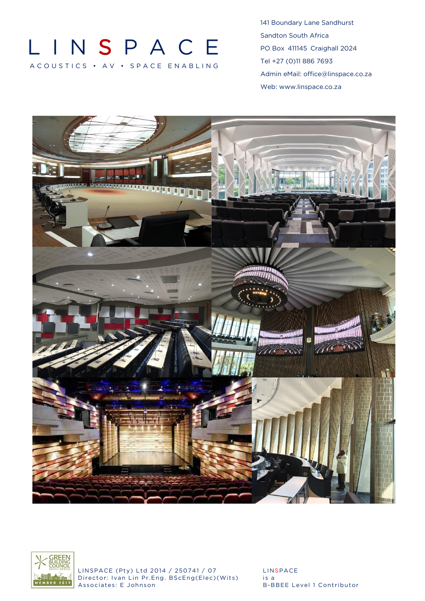# LIN S P A C E A COUSTICS · A V · SPACE ENABLING

141 Boundary Lane Sandhurst Sandton South Africa PO Box 411145 Craighall 2024 Tel +27 (0)11 886 7693 Admin eMail: [office@linspace.co.za](mailto:office@linspace.co.za) Web: [www.linspace.co.za](http://www.linspace.co.za/)





LINSPACE (Pty) Ltd 2014 / 250741 / 07 LINSPACE Director: Ivan Lin Pr.Eng. BScEng(Elec)(Wits) is a<br>Associates: E Johnson B-B

B-BBEE Level 1 Contributor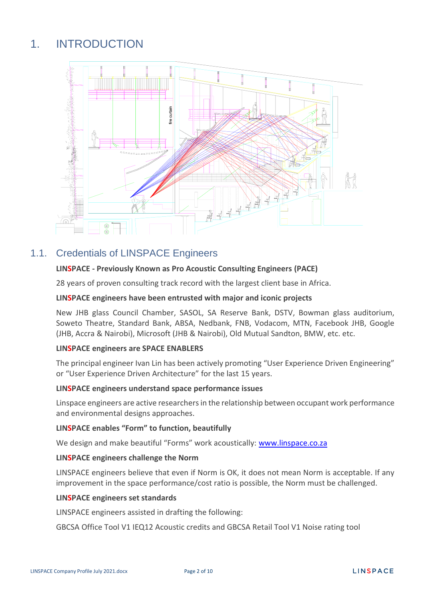## 1. INTRODUCTION



## 1.1. Credentials of LINSPACE Engineers

### **LINSPACE - Previously Known as Pro Acoustic Consulting Engineers (PACE)**

28 years of proven consulting track record with the largest client base in Africa.

#### **LINSPACE engineers have been entrusted with major and iconic projects**

New JHB glass Council Chamber, SASOL, SA Reserve Bank, DSTV, Bowman glass auditorium, Soweto Theatre, Standard Bank, ABSA, Nedbank, FNB, Vodacom, MTN, Facebook JHB, Google (JHB, Accra & Nairobi), Microsoft (JHB & Nairobi), Old Mutual Sandton, BMW, etc. etc.

#### **LINSPACE engineers are SPACE ENABLERS**

The principal engineer Ivan Lin has been actively promoting "User Experience Driven Engineering" or "User Experience Driven Architecture" for the last 15 years.

#### **LINSPACE engineers understand space performance issues**

Linspace engineers are active researchers in the relationship between occupant work performance and environmental designs approaches.

#### **LINSPACE enables "Form" to function, beautifully**

We design and make beautiful "Forms" work acoustically: [www.linspace.co.za](http://www.linspace.co.za/)

#### **LINSPACE engineers challenge the Norm**

LINSPACE engineers believe that even if Norm is OK, it does not mean Norm is acceptable. If any improvement in the space performance/cost ratio is possible, the Norm must be challenged.

#### **LINSPACE engineers set standards**

LINSPACE engineers assisted in drafting the following:

GBCSA Office Tool V1 IEQ12 Acoustic credits and GBCSA Retail Tool V1 Noise rating tool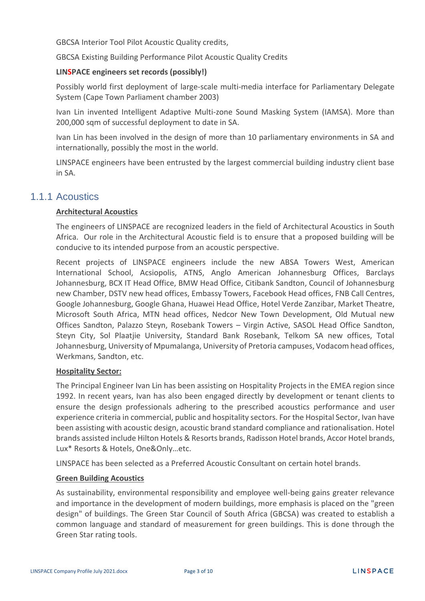GBCSA Interior Tool Pilot Acoustic Quality credits,

GBCSA Existing Building Performance Pilot Acoustic Quality Credits

#### **LINSPACE engineers set records (possibly!)**

Possibly world first deployment of large-scale multi-media interface for Parliamentary Delegate System (Cape Town Parliament chamber 2003)

Ivan Lin invented Intelligent Adaptive Multi-zone Sound Masking System (IAMSA). More than 200,000 sqm of successful deployment to date in SA.

Ivan Lin has been involved in the design of more than 10 parliamentary environments in SA and internationally, possibly the most in the world.

LINSPACE engineers have been entrusted by the largest commercial building industry client base in SA.

## 1.1.1 Acoustics

#### **Architectural Acoustics**

The engineers of LINSPACE are recognized leaders in the field of Architectural Acoustics in South Africa. Our role in the Architectural Acoustic field is to ensure that a proposed building will be conducive to its intended purpose from an acoustic perspective.

Recent projects of LINSPACE engineers include the new ABSA Towers West, American International School, Acsiopolis, ATNS, Anglo American Johannesburg Offices, Barclays Johannesburg, BCX IT Head Office, BMW Head Office, Citibank Sandton, Council of Johannesburg new Chamber, DSTV new head offices, Embassy Towers, Facebook Head offices, FNB Call Centres, Google Johannesburg, Google Ghana, Huawei Head Office, Hotel Verde Zanzibar, Market Theatre, Microsoft South Africa, MTN head offices, Nedcor New Town Development, Old Mutual new Offices Sandton, Palazzo Steyn, Rosebank Towers – Virgin Active, SASOL Head Office Sandton, Steyn City, Sol Plaatjie University, Standard Bank Rosebank, Telkom SA new offices, Total Johannesburg, University of Mpumalanga, University of Pretoria campuses, Vodacom head offices, Werkmans, Sandton, etc.

#### **Hospitality Sector:**

The Principal Engineer Ivan Lin has been assisting on Hospitality Projects in the EMEA region since 1992. In recent years, Ivan has also been engaged directly by development or tenant clients to ensure the design professionals adhering to the prescribed acoustics performance and user experience criteria in commercial, public and hospitality sectors. For the Hospital Sector, Ivan have been assisting with acoustic design, acoustic brand standard compliance and rationalisation. Hotel brands assisted include Hilton Hotels & Resorts brands, Radisson Hotel brands, Accor Hotel brands, Lux\* Resorts & Hotels, One&Only…etc.

LINSPACE has been selected as a Preferred Acoustic Consultant on certain hotel brands.

#### **Green Building Acoustics**

As sustainability, environmental responsibility and employee well-being gains greater relevance and importance in the development of modern buildings, more emphasis is placed on the "green design" of buildings. The Green Star Council of South Africa (GBCSA) was created to establish a common language and standard of measurement for green buildings. This is done through the Green Star rating tools.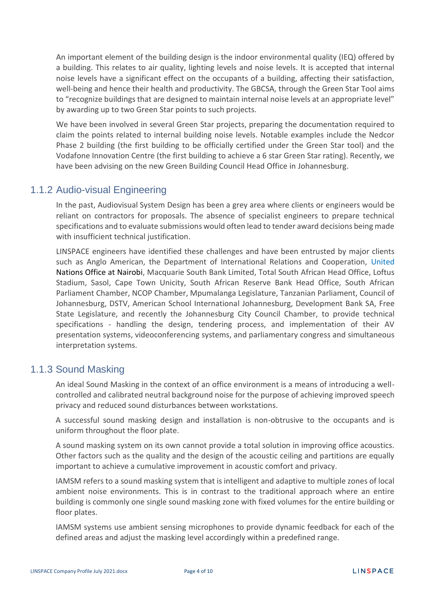An important element of the building design is the indoor environmental quality (IEQ) offered by a building. This relates to air quality, lighting levels and noise levels. It is accepted that internal noise levels have a significant effect on the occupants of a building, affecting their satisfaction, well-being and hence their health and productivity. The GBCSA, through the Green Star Tool aims to "recognize buildings that are designed to maintain internal noise levels at an appropriate level" by awarding up to two Green Star points to such projects.

We have been involved in several Green Star projects, preparing the documentation required to claim the points related to internal building noise levels. Notable examples include the Nedcor Phase 2 building (the first building to be officially certified under the Green Star tool) and the Vodafone Innovation Centre (the first building to achieve a 6 star Green Star rating). Recently, we have been advising on the new Green Building Council Head Office in Johannesburg.

## 1.1.2 Audio-visual Engineering

In the past, Audiovisual System Design has been a grey area where clients or engineers would be reliant on contractors for proposals. The absence of specialist engineers to prepare technical specifications and to evaluate submissions would often lead to tender award decisions being made with insufficient technical justification.

LINSPACE engineers have identified these challenges and have been entrusted by major clients such as Anglo American, the Department of International Relations and Cooperation, United Nations Office at Nairobi, Macquarie South Bank Limited, Total South African Head Office, Loftus Stadium, Sasol, Cape Town Unicity, South African Reserve Bank Head Office, South African Parliament Chamber, NCOP Chamber, Mpumalanga Legislature, Tanzanian Parliament, Council of Johannesburg, DSTV, American School International Johannesburg, Development Bank SA, Free State Legislature, and recently the Johannesburg City Council Chamber, to provide technical specifications - handling the design, tendering process, and implementation of their AV presentation systems, videoconferencing systems, and parliamentary congress and simultaneous interpretation systems.

## 1.1.3 Sound Masking

An ideal Sound Masking in the context of an office environment is a means of introducing a wellcontrolled and calibrated neutral background noise for the purpose of achieving improved speech privacy and reduced sound disturbances between workstations.

A successful sound masking design and installation is non-obtrusive to the occupants and is uniform throughout the floor plate.

A sound masking system on its own cannot provide a total solution in improving office acoustics. Other factors such as the quality and the design of the acoustic ceiling and partitions are equally important to achieve a cumulative improvement in acoustic comfort and privacy.

IAMSM refers to a sound masking system that is intelligent and adaptive to multiple zones of local ambient noise environments. This is in contrast to the traditional approach where an entire building is commonly one single sound masking zone with fixed volumes for the entire building or floor plates.

IAMSM systems use ambient sensing microphones to provide dynamic feedback for each of the defined areas and adjust the masking level accordingly within a predefined range.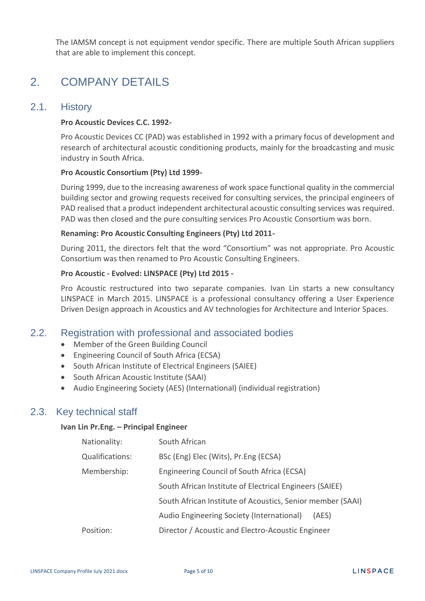The IAMSM concept is not equipment vendor specific. There are multiple South African suppliers that are able to implement this concept.

## 2. COMPANY DETAILS

## 2.1. History

#### **Pro Acoustic Devices C.C. 1992-**

Pro Acoustic Devices CC (PAD) was established in 1992 with a primary focus of development and research of architectural acoustic conditioning products, mainly for the broadcasting and music industry in South Africa.

#### **Pro Acoustic Consortium (Pty) Ltd 1999-**

During 1999, due to the increasing awareness of work space functional quality in the commercial building sector and growing requests received for consulting services, the principal engineers of PAD realised that a product independent architectural acoustic consulting services was required. PAD was then closed and the pure consulting services Pro Acoustic Consortium was born.

#### **Renaming: Pro Acoustic Consulting Engineers (Pty) Ltd 2011-**

During 2011, the directors felt that the word "Consortium" was not appropriate. Pro Acoustic Consortium was then renamed to Pro Acoustic Consulting Engineers.

#### **Pro Acoustic - Evolved: LINSPACE (Pty) Ltd 2015 -**

Pro Acoustic restructured into two separate companies. Ivan Lin starts a new consultancy LINSPACE in March 2015. LINSPACE is a professional consultancy offering a User Experience Driven Design approach in Acoustics and AV technologies for Architecture and Interior Spaces.

### 2.2. Registration with professional and associated bodies

- Member of the Green Building Council
- Engineering Council of South Africa (ECSA)
- South African Institute of Electrical Engineers (SAIEE)
- South African Acoustic Institute (SAAI)
- Audio Engineering Society (AES) (International) (individual registration)

## 2.3. Key technical staff

#### **Ivan Lin Pr.Eng. – Principal Engineer**

| Nationality:           | South African                                              |
|------------------------|------------------------------------------------------------|
| <b>Qualifications:</b> | BSc (Eng) Elec (Wits), Pr.Eng (ECSA)                       |
| Membership:            | Engineering Council of South Africa (ECSA)                 |
|                        | South African Institute of Electrical Engineers (SAIEE)    |
|                        | South African Institute of Acoustics, Senior member (SAAI) |
|                        | Audio Engineering Society (International)<br>(AES)         |
| Position:              | Director / Acoustic and Electro-Acoustic Engineer          |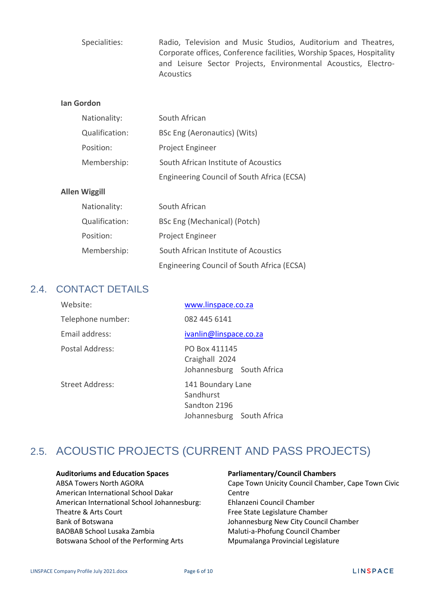Specialities: Radio, Television and Music Studios, Auditorium and Theatres, Corporate offices, Conference facilities, Worship Spaces, Hospitality and Leisure Sector Projects, Environmental Acoustics, Electro-**Acoustics** 

#### **Ian Gordon**

| Nationality:   | South African                              |  |
|----------------|--------------------------------------------|--|
| Qualification: | BSc Eng (Aeronautics) (Wits)               |  |
| Position:      | Project Engineer                           |  |
| Membership:    | South African Institute of Acoustics       |  |
|                | Engineering Council of South Africa (ECSA) |  |

#### **Allen Wiggill**

| Nationality:   | South African                              |  |
|----------------|--------------------------------------------|--|
| Qualification: | BSc Eng (Mechanical) (Potch)               |  |
| Position:      | Project Engineer                           |  |
| Membership:    | South African Institute of Acoustics       |  |
|                | Engineering Council of South Africa (ECSA) |  |

### 2.4. CONTACT DETAILS

| Website:               | www.linspace.co.za                                                          |
|------------------------|-----------------------------------------------------------------------------|
| Telephone number:      | 082 445 6141                                                                |
| Email address:         | ivanlin@linspace.co.za                                                      |
| Postal Address:        | PO Box 411145<br>Craighall 2024<br>Johannesburg South Africa                |
| <b>Street Address:</b> | 141 Boundary Lane<br>Sandhurst<br>Sandton 2196<br>Johannesburg South Africa |

## 2.5. ACOUSTIC PROJECTS (CURRENT AND PASS PROJECTS)

#### **Auditoriums and Education Spaces**

ABSA Towers North AGORA American International School Dakar American International School Johannesburg: Theatre & Arts Court Bank of Botswana BAOBAB School Lusaka Zambia Botswana School of the Performing Arts

#### **Parliamentary/Council Chambers**

Cape Town Unicity Council Chamber, Cape Town Civic **Centre** Ehlanzeni Council Chamber Free State Legislature Chamber Johannesburg New City Council Chamber Maluti-a-Phofung Council Chamber Mpumalanga Provincial Legislature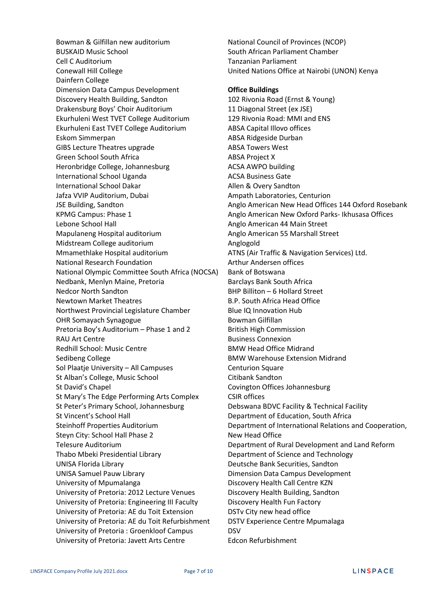Bowman & Gilfillan new auditorium BUSKAID Music School Cell C Auditorium Conewall Hill College Dainfern College Dimension Data Campus Development Discovery Health Building, Sandton Drakensburg Boys' Choir Auditorium Ekurhuleni West TVET College Auditorium Ekurhuleni East TVET College Auditorium Eskom Simmerpan GIBS Lecture Theatres upgrade Green School South Africa Heronbridge College, Johannesburg International School Uganda International School Dakar Jafza VVIP Auditorium, Dubai JSE Building, Sandton KPMG Campus: Phase 1 Lebone School Hall Mapulaneng Hospital auditorium Midstream College auditorium Mmamethlake Hospital auditorium National Research Foundation National Olympic Committee South Africa (NOCSA) Nedbank, Menlyn Maine, Pretoria Nedcor North Sandton Newtown Market Theatres Northwest Provincial Legislature Chamber OHR Somayach Synagogue Pretoria Boy's Auditorium – Phase 1 and 2 RAU Art Centre Redhill School: Music Centre Sedibeng College Sol Plaatje University – All Campuses St Alban's College, Music School St David's Chapel St Mary's The Edge Performing Arts Complex St Peter's Primary School, Johannesburg St Vincent's School Hall Steinhoff Properties Auditorium Steyn City: School Hall Phase 2 Telesure Auditorium Thabo Mbeki Presidential Library UNISA Florida Library UNISA Samuel Pauw Library University of Mpumalanga University of Pretoria: 2012 Lecture Venues University of Pretoria: Engineering III Faculty University of Pretoria: AE du Toit Extension University of Pretoria: AE du Toit Refurbishment University of Pretoria : Groenkloof Campus University of Pretoria: Javett Arts Centre

National Council of Provinces (NCOP) South African Parliament Chamber Tanzanian Parliament United Nations Office at Nairobi (UNON) Kenya **Office Buildings** 102 Rivonia Road (Ernst & Young) 11 Diagonal Street (ex JSE) 129 Rivonia Road: MMI and ENS ABSA Capital Illovo offices ABSA Ridgeside Durban ABSA Towers West ABSA Project X ACSA AWPO building ACSA Business Gate Allen & Overy Sandton Ampath Laboratories, Centurion Anglo American New Head Offices 144 Oxford Rosebank Anglo American New Oxford Parks- Ikhusasa Offices Anglo American 44 Main Street Anglo American 55 Marshall Street Anglogold ATNS (Air Traffic & Navigation Services) Ltd. Arthur Andersen offices Bank of Botswana Barclays Bank South Africa BHP Billiton – 6 Hollard Street B.P. South Africa Head Office Blue IQ Innovation Hub Bowman Gilfillan British High Commission Business Connexion BMW Head Office Midrand BMW Warehouse Extension Midrand **Centurion Square** Citibank Sandton Covington Offices Johannesburg CSIR offices Debswana BDVC Facility & Technical Facility Department of Education, South Africa Department of International Relations and Cooperation, New Head Office Department of Rural Development and Land Reform Department of Science and Technology Deutsche Bank Securities, Sandton Dimension Data Campus Development Discovery Health Call Centre KZN Discovery Health Building, Sandton Discovery Health Fun Factory DSTv City new head office DSTV Experience Centre Mpumalaga DSV Edcon Refurbishment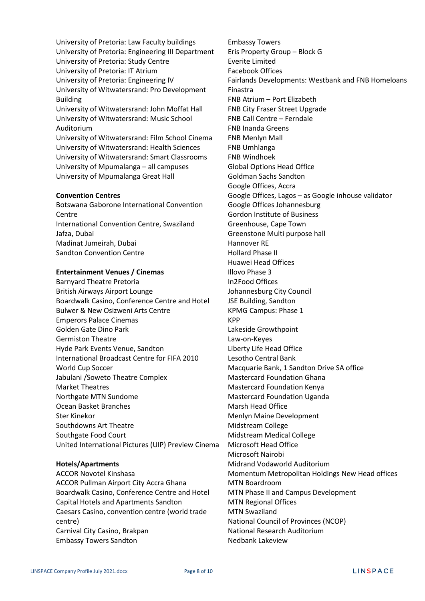University of Pretoria: Law Faculty buildings University of Pretoria: Engineering III Department University of Pretoria: Study Centre University of Pretoria: IT Atrium University of Pretoria: Engineering IV University of Witwatersrand: Pro Development Building University of Witwatersrand: John Moffat Hall University of Witwatersrand: Music School Auditorium University of Witwatersrand: Film School Cinema University of Witwatersrand: Health Sciences University of Witwatersrand: Smart Classrooms University of Mpumalanga – all campuses University of Mpumalanga Great Hall

#### **Convention Centres**

Botswana Gaborone International Convention **Centre** International Convention Centre, Swaziland Jafza, Dubai Madinat Jumeirah, Dubai Sandton Convention Centre

#### **Entertainment Venues / Cinemas**

Barnyard Theatre Pretoria British Airways Airport Lounge Boardwalk Casino, Conference Centre and Hotel Bulwer & New Osizweni Arts Centre Emperors Palace Cinemas Golden Gate Dino Park Germiston Theatre Hyde Park Events Venue, Sandton International Broadcast Centre for FIFA 2010 World Cup Soccer Jabulani /Soweto Theatre Complex Market Theatres Northgate MTN Sundome Ocean Basket Branches Ster Kinekor Southdowns Art Theatre Southgate Food Court United International Pictures (UIP) Preview Cinema

#### **Hotels/Apartments**

ACCOR Novotel Kinshasa ACCOR Pullman Airport City Accra Ghana Boardwalk Casino, Conference Centre and Hotel Capital Hotels and Apartments Sandton Caesars Casino, convention centre (world trade centre) Carnival City Casino, Brakpan Embassy Towers Sandton

Embassy Towers Eris Property Group – Block G Everite Limited Facebook Offices Fairlands Developments: Westbank and FNB Homeloans Finastra FNB Atrium – Port Elizabeth FNB City Fraser Street Upgrade FNB Call Centre – Ferndale FNB Inanda Greens FNB Menlyn Mall FNB Umhlanga FNB Windhoek Global Options Head Office Goldman Sachs Sandton Google Offices, Accra Google Offices, Lagos – as Google inhouse validator Google Offices Johannesburg Gordon Institute of Business Greenhouse, Cape Town Greenstone Multi purpose hall Hannover RE Hollard Phase II Huawei Head Offices Illovo Phase 3 In2Food Offices Johannesburg City Council JSE Building, Sandton KPMG Campus: Phase 1 KPP Lakeside Growthpoint Law-on-Keyes Liberty Life Head Office Lesotho Central Bank Macquarie Bank, 1 Sandton Drive SA office Mastercard Foundation Ghana Mastercard Foundation Kenya Mastercard Foundation Uganda Marsh Head Office Menlyn Maine Development Midstream College Midstream Medical College Microsoft Head Office Microsoft Nairobi Midrand Vodaworld Auditorium Momentum Metropolitan Holdings New Head offices MTN Boardroom MTN Phase II and Campus Development MTN Regional Offices MTN Swaziland National Council of Provinces (NCOP) National Research Auditorium Nedbank Lakeview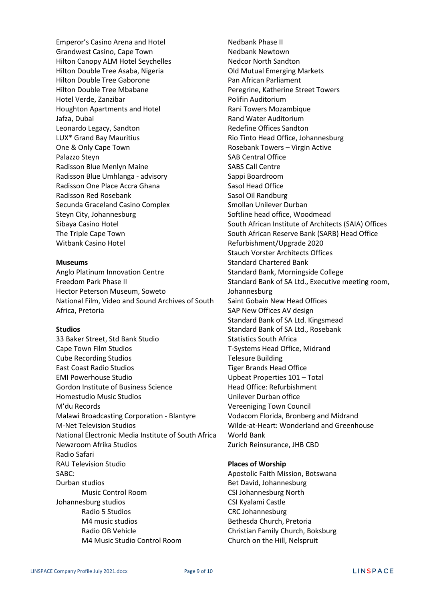Emperor's Casino Arena and Hotel Grandwest Casino, Cape Town Hilton Canopy ALM Hotel Seychelles Hilton Double Tree Asaba, Nigeria Hilton Double Tree Gaborone Hilton Double Tree Mbabane Hotel Verde, Zanzibar Houghton Apartments and Hotel Jafza, Dubai Leonardo Legacy, Sandton LUX\* Grand Bay Mauritius One & Only Cape Town Palazzo Steyn Radisson Blue Menlyn Maine Radisson Blue Umhlanga - advisory Radisson One Place Accra Ghana Radisson Red Rosebank Secunda Graceland Casino Complex Steyn City, Johannesburg Sibaya Casino Hotel The Triple Cape Town Witbank Casino Hotel

#### **Museums**

Anglo Platinum Innovation Centre Freedom Park Phase II Hector Peterson Museum, Soweto National Film, Video and Sound Archives of South Africa, Pretoria

#### **Studios**

33 Baker Street, Std Bank Studio Cape Town Film Studios Cube Recording Studios East Coast Radio Studios EMI Powerhouse Studio Gordon Institute of Business Science Homestudio Music Studios M'du Records Malawi Broadcasting Corporation - Blantyre M-Net Television Studios National Electronic Media Institute of South Africa Newzroom Afrika Studios Radio Safari RAU Television Studio SABC: Durban studios Music Control Room Johannesburg studios Radio 5 Studios M4 music studios Radio OB Vehicle M4 Music Studio Control Room

Nedbank Phase II Nedbank Newtown Nedcor North Sandton Old Mutual Emerging Markets Pan African Parliament Peregrine, Katherine Street Towers Polifin Auditorium Rani Towers Mozambique Rand Water Auditorium Redefine Offices Sandton Rio Tinto Head Office, Johannesburg Rosebank Towers – Virgin Active SAB Central Office SABS Call Centre Sappi Boardroom Sasol Head Office Sasol Oil Randburg Smollan Unilever Durban Softline head office, Woodmead South African Institute of Architects (SAIA) Offices South African Reserve Bank (SARB) Head Office Refurbishment/Upgrade 2020 Stauch Vorster Architects Offices Standard Chartered Bank Standard Bank, Morningside College Standard Bank of SA Ltd., Executive meeting room, Johannesburg Saint Gobain New Head Offices SAP New Offices AV design Standard Bank of SA Ltd. Kingsmead Standard Bank of SA Ltd., Rosebank Statistics South Africa T-Systems Head Office, Midrand Telesure Building Tiger Brands Head Office Upbeat Properties 101 – Total Head Office: Refurbishment Unilever Durban office Vereeniging Town Council Vodacom Florida, Bronberg and Midrand Wilde-at-Heart: Wonderland and Greenhouse World Bank Zurich Reinsurance, JHB CBD

#### **Places of Worship**

Apostolic Faith Mission, Botswana Bet David, Johannesburg CSI Johannesburg North CSI Kyalami Castle CRC Johannesburg Bethesda Church, Pretoria Christian Family Church, Boksburg Church on the Hill, Nelspruit